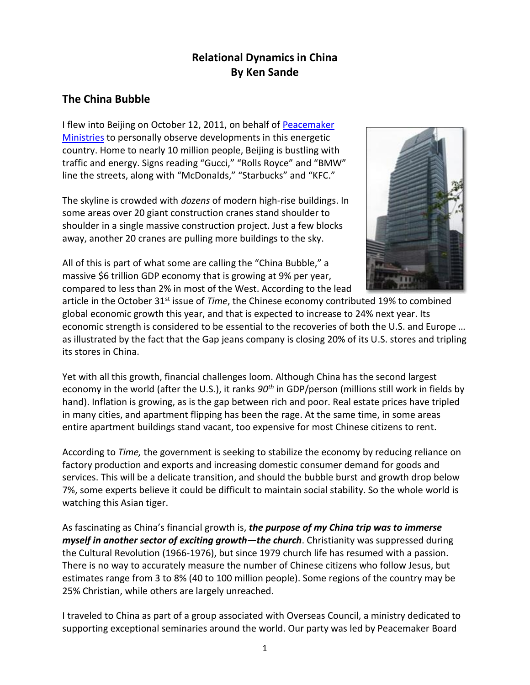# **Relational Dynamics in China By Ken Sande**

### **The China Bubble**

I flew into Beijing on October 12, 2011, on behalf of [Peacemaker](http://www.peacemaker.net/)  [Ministries](http://www.peacemaker.net/) to personally observe developments in this energetic country. Home to nearly 10 million people, Beijing is bustling with traffic and energy. Signs reading "Gucci," "Rolls Royce" and "BMW" line the streets, along with "McDonalds," "Starbucks" and "KFC."

The skyline is crowded with *dozens* of modern high-rise buildings. In some areas over 20 giant construction cranes stand shoulder to shoulder in a single massive construction project. Just a few blocks away, another 20 cranes are pulling more buildings to the sky.

All of this is part of what some are calling the "China Bubble," a massive \$6 trillion GDP economy that is growing at 9% per year, compared to less than 2% in most of the West. According to the lead



article in the October 31<sup>st</sup> issue of *Time*, the Chinese economy contributed 19% to combined global economic growth this year, and that is expected to increase to 24% next year. Its economic strength is considered to be essential to the recoveries of both the U.S. and Europe … as illustrated by the fact that the Gap jeans company is closing 20% of its U.S. stores and tripling its stores in China.

Yet with all this growth, financial challenges loom. Although China has the second largest economy in the world (after the U.S.), it ranks *90th* in GDP/person (millions still work in fields by hand). Inflation is growing, as is the gap between rich and poor. Real estate prices have tripled in many cities, and apartment flipping has been the rage. At the same time, in some areas entire apartment buildings stand vacant, too expensive for most Chinese citizens to rent.

According to *Time,* the government is seeking to stabilize the economy by reducing reliance on factory production and exports and increasing domestic consumer demand for goods and services. This will be a delicate transition, and should the bubble burst and growth drop below 7%, some experts believe it could be difficult to maintain social stability. So the whole world is watching this Asian tiger.

As fascinating as China's financial growth is, *the purpose of my China trip was to immerse myself in another sector of exciting growth—the church*. Christianity was suppressed during the Cultural Revolution (1966-1976), but since 1979 church life has resumed with a passion. There is no way to accurately measure the number of Chinese citizens who follow Jesus, but estimates range from 3 to 8% (40 to 100 million people). Some regions of the country may be 25% Christian, while others are largely unreached.

I traveled to China as part of a group associated with Overseas Council, a ministry dedicated to supporting exceptional seminaries around the world. Our party was led by Peacemaker Board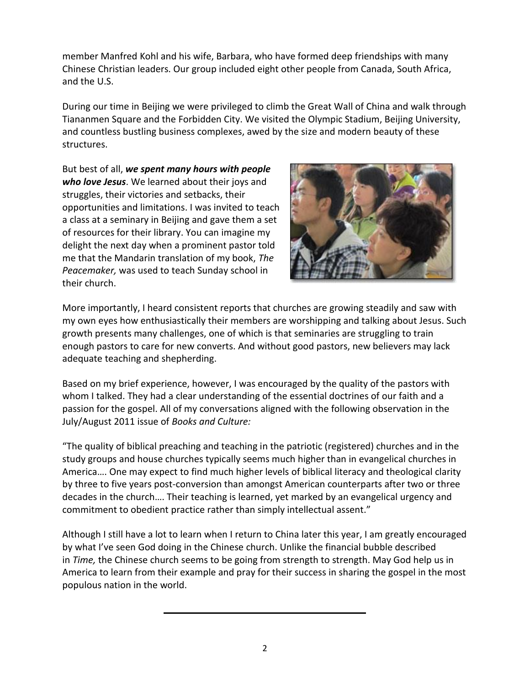member Manfred Kohl and his wife, Barbara, who have formed deep friendships with many Chinese Christian leaders. Our group included eight other people from Canada, South Africa, and the U.S.

During our time in Beijing we were privileged to climb the Great Wall of China and walk through Tiananmen Square and the Forbidden City. We visited the Olympic Stadium, Beijing University, and countless bustling business complexes, awed by the size and modern beauty of these structures.

But best of all, *we spent many hours with people who love Jesus*. We learned about their joys and struggles, their victories and setbacks, their opportunities and limitations. I was invited to teach a class at a seminary in Beijing and gave them a set of resources for their library. You can imagine my delight the next day when a prominent pastor told me that the Mandarin translation of my book, *The Peacemaker,* was used to teach Sunday school in their church.



More importantly, I heard consistent reports that churches are growing steadily and saw with my own eyes how enthusiastically their members are worshipping and talking about Jesus. Such growth presents many challenges, one of which is that seminaries are struggling to train enough pastors to care for new converts. And without good pastors, new believers may lack adequate teaching and shepherding.

Based on my brief experience, however, I was encouraged by the quality of the pastors with whom I talked. They had a clear understanding of the essential doctrines of our faith and a passion for the gospel. All of my conversations aligned with the following observation in the July/August 2011 issue of *Books and Culture:*

"The quality of biblical preaching and teaching in the patriotic (registered) churches and in the study groups and house churches typically seems much higher than in evangelical churches in America…. One may expect to find much higher levels of biblical literacy and theological clarity by three to five years post-conversion than amongst American counterparts after two or three decades in the church…. Their teaching is learned, yet marked by an evangelical urgency and commitment to obedient practice rather than simply intellectual assent."

Although I still have a lot to learn when I return to China later this year, I am greatly encouraged by what I've seen God doing in the Chinese church. Unlike the financial bubble described in *Time,* the Chinese church seems to be going from strength to strength. May God help us in America to learn from their example and pray for their success in sharing the gospel in the most populous nation in the world.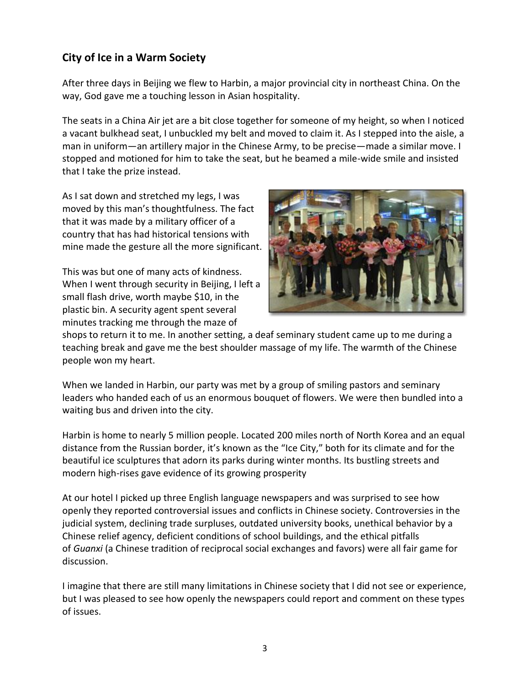# **City of Ice in a Warm Society**

After three days in Beijing we flew to Harbin, a major provincial city in northeast China. On the way, God gave me a touching lesson in Asian hospitality.

The seats in a China Air jet are a bit close together for someone of my height, so when I noticed a vacant bulkhead seat, I unbuckled my belt and moved to claim it. As I stepped into the aisle, a man in uniform—an artillery major in the Chinese Army, to be precise—made a similar move. I stopped and motioned for him to take the seat, but he beamed a mile-wide smile and insisted that I take the prize instead.

As I sat down and stretched my legs, I was moved by this man's thoughtfulness. The fact that it was made by a military officer of a country that has had historical tensions with mine made the gesture all the more significant.

This was but one of many acts of kindness. When I went through security in Beijing, I left a small flash drive, worth maybe \$10, in the plastic bin. A security agent spent several minutes tracking me through the maze of



shops to return it to me. In another setting, a deaf seminary student came up to me during a teaching break and gave me the best shoulder massage of my life. The warmth of the Chinese people won my heart.

When we landed in Harbin, our party was met by a group of smiling pastors and seminary leaders who handed each of us an enormous bouquet of flowers. We were then bundled into a waiting bus and driven into the city.

Harbin is home to nearly 5 million people. Located 200 miles north of North Korea and an equal distance from the Russian border, it's known as the "Ice City," both for its climate and for the beautiful ice sculptures that adorn its parks during winter months. Its bustling streets and modern high-rises gave evidence of its growing prosperity

At our hotel I picked up three English language newspapers and was surprised to see how openly they reported controversial issues and conflicts in Chinese society. Controversies in the judicial system, declining trade surpluses, outdated university books, unethical behavior by a Chinese relief agency, deficient conditions of school buildings, and the ethical pitfalls of *Guanxi* (a Chinese tradition of reciprocal social exchanges and favors) were all fair game for discussion.

I imagine that there are still many limitations in Chinese society that I did not see or experience, but I was pleased to see how openly the newspapers could report and comment on these types of issues.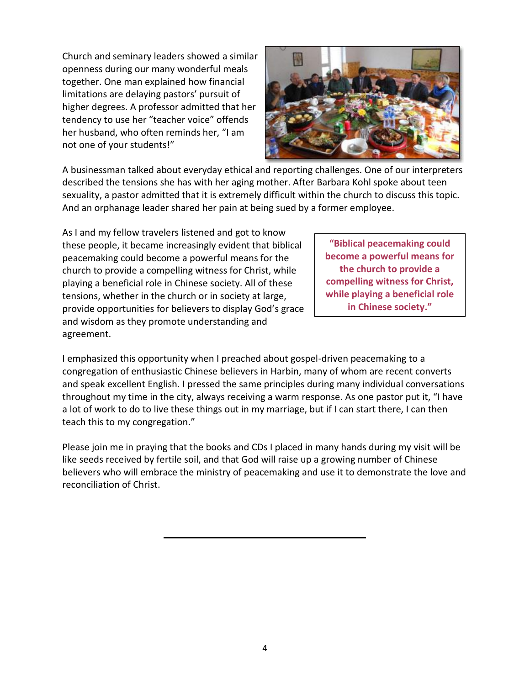Church and seminary leaders showed a similar openness during our many wonderful meals together. One man explained how financial limitations are delaying pastors' pursuit of higher degrees. A professor admitted that her tendency to use her "teacher voice" offends her husband, who often reminds her, "I am not one of your students!"



A businessman talked about everyday ethical and reporting challenges. One of our interpreters described the tensions she has with her aging mother. After Barbara Kohl spoke about teen sexuality, a pastor admitted that it is extremely difficult within the church to discuss this topic. And an orphanage leader shared her pain at being sued by a former employee.

As I and my fellow travelers listened and got to know these people, it became increasingly evident that biblical peacemaking could become a powerful means for the church to provide a compelling witness for Christ, while playing a beneficial role in Chinese society. All of these tensions, whether in the church or in society at large, provide opportunities for believers to display God's grace and wisdom as they promote understanding and agreement.

**"Biblical peacemaking could become a powerful means for the church to provide a compelling witness for Christ, while playing a beneficial role in Chinese society."**

I emphasized this opportunity when I preached about gospel-driven peacemaking to a congregation of enthusiastic Chinese believers in Harbin, many of whom are recent converts and speak excellent English. I pressed the same principles during many individual conversations throughout my time in the city, always receiving a warm response. As one pastor put it, "I have a lot of work to do to live these things out in my marriage, but if I can start there, I can then teach this to my congregation."

Please join me in praying that the books and CDs I placed in many hands during my visit will be like seeds received by fertile soil, and that God will raise up a growing number of Chinese believers who will embrace the ministry of peacemaking and use it to demonstrate the love and reconciliation of Christ.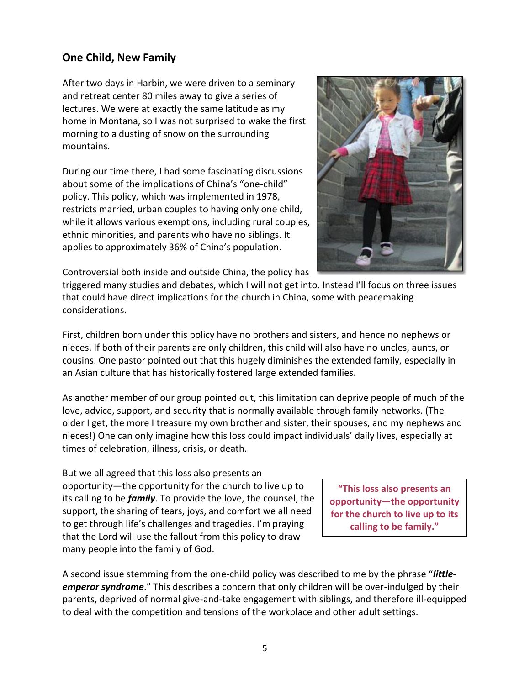#### **One Child, New Family**

After two days in Harbin, we were driven to a seminary and retreat center 80 miles away to give a series of lectures. We were at exactly the same latitude as my home in Montana, so I was not surprised to wake the first morning to a dusting of snow on the surrounding mountains.

During our time there, I had some fascinating discussions about some of the implications of China's "one-child" policy. This policy, which was implemented in 1978, restricts married, urban couples to having only one child, while it allows various exemptions, including rural couples, ethnic minorities, and parents who have no siblings. It applies to approximately 36% of China's population.



Controversial both inside and outside China, the policy has

triggered many studies and debates, which I will not get into. Instead I'll focus on three issues that could have direct implications for the church in China, some with peacemaking considerations.

First, children born under this policy have no brothers and sisters, and hence no nephews or nieces. If both of their parents are only children, this child will also have no uncles, aunts, or cousins. One pastor pointed out that this hugely diminishes the extended family, especially in an Asian culture that has historically fostered large extended families.

As another member of our group pointed out, this limitation can deprive people of much of the love, advice, support, and security that is normally available through family networks. (The older I get, the more I treasure my own brother and sister, their spouses, and my nephews and nieces!) One can only imagine how this loss could impact individuals' daily lives, especially at times of celebration, illness, crisis, or death.

But we all agreed that this loss also presents an opportunity—the opportunity for the church to live up to its calling to be *family*. To provide the love, the counsel, the support, the sharing of tears, joys, and comfort we all need to get through life's challenges and tragedies. I'm praying that the Lord will use the fallout from this policy to draw many people into the family of God.

**"This loss also presents an opportunity—the opportunity for the church to live up to its calling to be family."**

A second issue stemming from the one-child policy was described to me by the phrase "*littleemperor syndrome*." This describes a concern that only children will be over-indulged by their parents, deprived of normal give-and-take engagement with siblings, and therefore ill-equipped to deal with the competition and tensions of the workplace and other adult settings.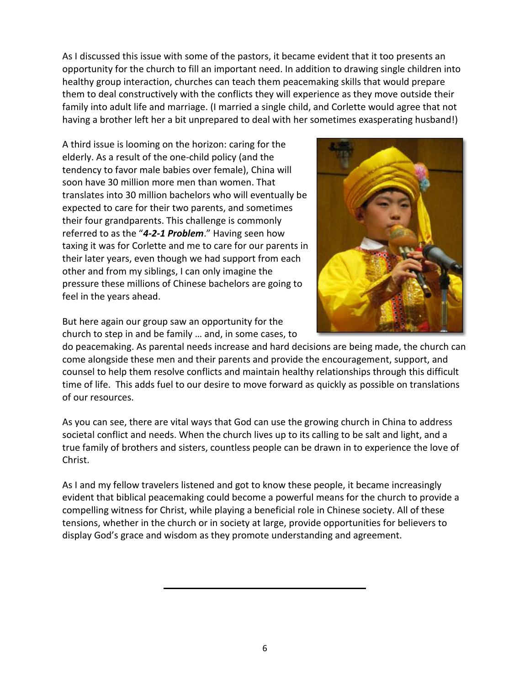As I discussed this issue with some of the pastors, it became evident that it too presents an opportunity for the church to fill an important need. In addition to drawing single children into healthy group interaction, churches can teach them peacemaking skills that would prepare them to deal constructively with the conflicts they will experience as they move outside their family into adult life and marriage. (I married a single child, and Corlette would agree that not having a brother left her a bit unprepared to deal with her sometimes exasperating husband!)

A third issue is looming on the horizon: caring for the elderly. As a result of the one-child policy (and the tendency to favor male babies over female), China will soon have 30 million more men than women. That translates into 30 million bachelors who will eventually be expected to care for their two parents, and sometimes their four grandparents. This challenge is commonly referred to as the "*4-2-1 Problem*." Having seen how taxing it was for Corlette and me to care for our parents in their later years, even though we had support from each other and from my siblings, I can only imagine the pressure these millions of Chinese bachelors are going to feel in the years ahead.



But here again our group saw an opportunity for the church to step in and be family … and, in some cases, to

do peacemaking. As parental needs increase and hard decisions are being made, the church can come alongside these men and their parents and provide the encouragement, support, and counsel to help them resolve conflicts and maintain healthy relationships through this difficult time of life. This adds fuel to our desire to move forward as quickly as possible on translations of our resources.

As you can see, there are vital ways that God can use the growing church in China to address societal conflict and needs. When the church lives up to its calling to be salt and light, and a true family of brothers and sisters, countless people can be drawn in to experience the love of Christ.

As I and my fellow travelers listened and got to know these people, it became increasingly evident that biblical peacemaking could become a powerful means for the church to provide a compelling witness for Christ, while playing a beneficial role in Chinese society. All of these tensions, whether in the church or in society at large, provide opportunities for believers to display God's grace and wisdom as they promote understanding and agreement.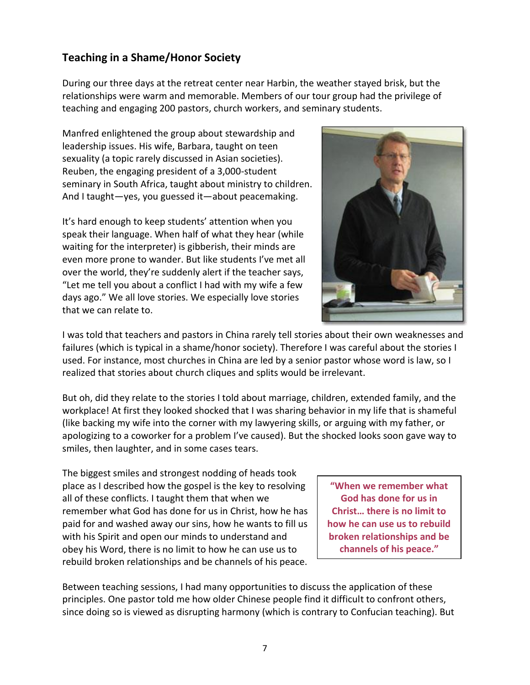### **Teaching in a Shame/Honor Society**

During our three days at the retreat center near Harbin, the weather stayed brisk, but the relationships were warm and memorable. Members of our tour group had the privilege of teaching and engaging 200 pastors, church workers, and seminary students.

Manfred enlightened the group about stewardship and leadership issues. His wife, Barbara, taught on teen sexuality (a topic rarely discussed in Asian societies). Reuben, the engaging president of a 3,000-student seminary in South Africa, taught about ministry to children. And I taught—yes, you guessed it—about peacemaking.

It's hard enough to keep students' attention when you speak their language. When half of what they hear (while waiting for the interpreter) is gibberish, their minds are even more prone to wander. But like students I've met all over the world, they're suddenly alert if the teacher says, "Let me tell you about a conflict I had with my wife a few days ago." We all love stories. We especially love stories that we can relate to.



I was told that teachers and pastors in China rarely tell stories about their own weaknesses and failures (which is typical in a shame/honor society). Therefore I was careful about the stories I used. For instance, most churches in China are led by a senior pastor whose word is law, so I realized that stories about church cliques and splits would be irrelevant.

But oh, did they relate to the stories I told about marriage, children, extended family, and the workplace! At first they looked shocked that I was sharing behavior in my life that is shameful (like backing my wife into the corner with my lawyering skills, or arguing with my father, or apologizing to a coworker for a problem I've caused). But the shocked looks soon gave way to smiles, then laughter, and in some cases tears.

The biggest smiles and strongest nodding of heads took place as I described how the gospel is the key to resolving all of these conflicts. I taught them that when we remember what God has done for us in Christ, how he has paid for and washed away our sins, how he wants to fill us with his Spirit and open our minds to understand and obey his Word, there is no limit to how he can use us to rebuild broken relationships and be channels of his peace.

**"When we remember what God has done for us in Christ… there is no limit to how he can use us to rebuild broken relationships and be channels of his peace."**

Between teaching sessions, I had many opportunities to discuss the application of these principles. One pastor told me how older Chinese people find it difficult to confront others, since doing so is viewed as disrupting harmony (which is contrary to Confucian teaching). But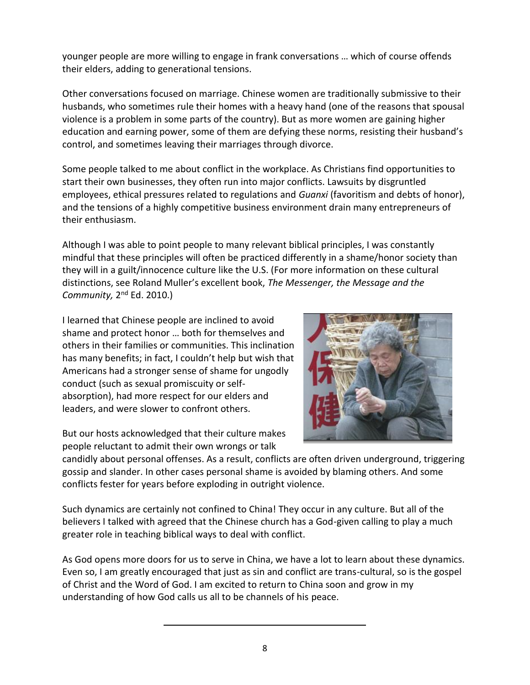younger people are more willing to engage in frank conversations … which of course offends their elders, adding to generational tensions.

Other conversations focused on marriage. Chinese women are traditionally submissive to their husbands, who sometimes rule their homes with a heavy hand (one of the reasons that spousal violence is a problem in some parts of the country). But as more women are gaining higher education and earning power, some of them are defying these norms, resisting their husband's control, and sometimes leaving their marriages through divorce.

Some people talked to me about conflict in the workplace. As Christians find opportunities to start their own businesses, they often run into major conflicts. Lawsuits by disgruntled employees, ethical pressures related to regulations and *Guanxi* (favoritism and debts of honor), and the tensions of a highly competitive business environment drain many entrepreneurs of their enthusiasm.

Although I was able to point people to many relevant biblical principles, I was constantly mindful that these principles will often be practiced differently in a shame/honor society than they will in a guilt/innocence culture like the U.S. (For more information on these cultural distinctions, see Roland Muller's excellent book, *The Messenger, the Message and the*  Community, 2<sup>nd</sup> Ed. 2010.)

I learned that Chinese people are inclined to avoid shame and protect honor … both for themselves and others in their families or communities. This inclination has many benefits; in fact, I couldn't help but wish that Americans had a stronger sense of shame for ungodly conduct (such as sexual promiscuity or selfabsorption), had more respect for our elders and leaders, and were slower to confront others.



But our hosts acknowledged that their culture makes people reluctant to admit their own wrongs or talk

candidly about personal offenses. As a result, conflicts are often driven underground, triggering gossip and slander. In other cases personal shame is avoided by blaming others. And some conflicts fester for years before exploding in outright violence.

Such dynamics are certainly not confined to China! They occur in any culture. But all of the believers I talked with agreed that the Chinese church has a God-given calling to play a much greater role in teaching biblical ways to deal with conflict.

As God opens more doors for us to serve in China, we have a lot to learn about these dynamics. Even so, I am greatly encouraged that just as sin and conflict are trans-cultural, so is the gospel of Christ and the Word of God. I am excited to return to China soon and grow in my understanding of how God calls us all to be channels of his peace.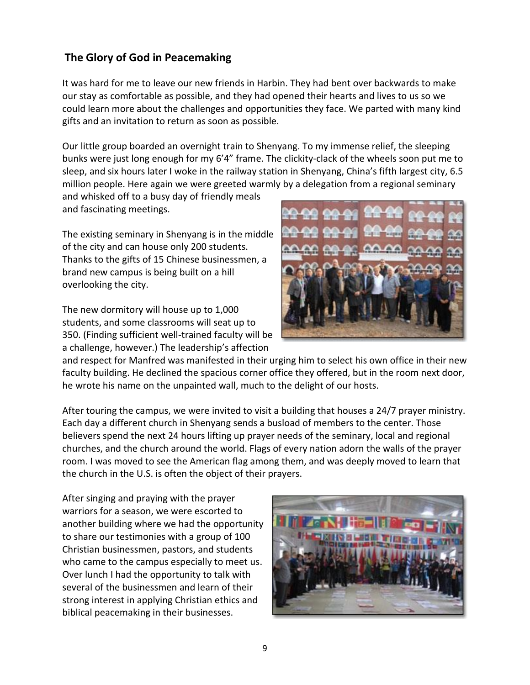## **The Glory of God in Peacemaking**

It was hard for me to leave our new friends in Harbin. They had bent over backwards to make our stay as comfortable as possible, and they had opened their hearts and lives to us so we could learn more about the challenges and opportunities they face. We parted with many kind gifts and an invitation to return as soon as possible.

Our little group boarded an overnight train to Shenyang. To my immense relief, the sleeping bunks were just long enough for my 6'4" frame. The clickity-clack of the wheels soon put me to sleep, and six hours later I woke in the railway station in Shenyang, China's fifth largest city, 6.5 million people. Here again we were greeted warmly by a delegation from a regional seminary

and whisked off to a busy day of friendly meals and fascinating meetings.

The existing seminary in Shenyang is in the middle of the city and can house only 200 students. Thanks to the gifts of 15 Chinese businessmen, a brand new campus is being built on a hill overlooking the city.

The new dormitory will house up to 1,000 students, and some classrooms will seat up to 350. (Finding sufficient well-trained faculty will be a challenge, however.) The leadership's affection



and respect for Manfred was manifested in their urging him to select his own office in their new faculty building. He declined the spacious corner office they offered, but in the room next door, he wrote his name on the unpainted wall, much to the delight of our hosts.

After touring the campus, we were invited to visit a building that houses a 24/7 prayer ministry. Each day a different church in Shenyang sends a busload of members to the center. Those believers spend the next 24 hours lifting up prayer needs of the seminary, local and regional churches, and the church around the world. Flags of every nation adorn the walls of the prayer room. I was moved to see the American flag among them, and was deeply moved to learn that the church in the U.S. is often the object of their prayers.

After singing and praying with the prayer warriors for a season, we were escorted to another building where we had the opportunity to share our testimonies with a group of 100 Christian businessmen, pastors, and students who came to the campus especially to meet us. Over lunch I had the opportunity to talk with several of the businessmen and learn of their strong interest in applying Christian ethics and biblical peacemaking in their businesses.

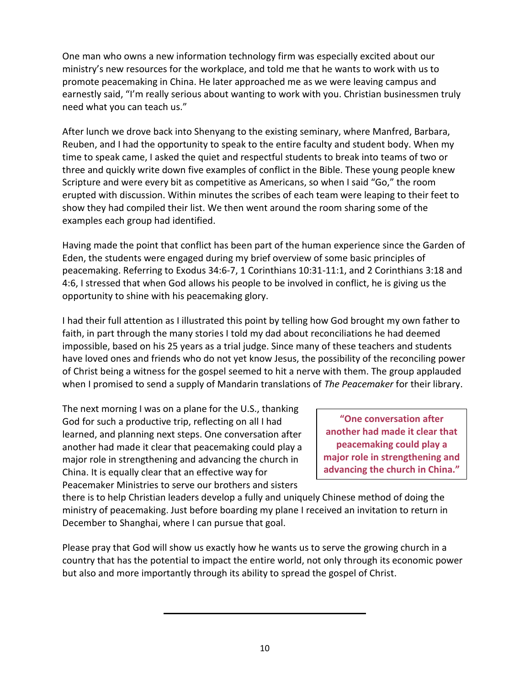One man who owns a new information technology firm was especially excited about our ministry's new resources for the workplace, and told me that he wants to work with us to promote peacemaking in China. He later approached me as we were leaving campus and earnestly said, "I'm really serious about wanting to work with you. Christian businessmen truly need what you can teach us."

After lunch we drove back into Shenyang to the existing seminary, where Manfred, Barbara, Reuben, and I had the opportunity to speak to the entire faculty and student body. When my time to speak came, I asked the quiet and respectful students to break into teams of two or three and quickly write down five examples of conflict in the Bible. These young people knew Scripture and were every bit as competitive as Americans, so when I said "Go," the room erupted with discussion. Within minutes the scribes of each team were leaping to their feet to show they had compiled their list. We then went around the room sharing some of the examples each group had identified.

Having made the point that conflict has been part of the human experience since the Garden of Eden, the students were engaged during my brief overview of some basic principles of peacemaking. Referring to Exodus 34:6-7, 1 Corinthians 10:31-11:1, and 2 Corinthians 3:18 and 4:6, I stressed that when God allows his people to be involved in conflict, he is giving us the opportunity to shine with his peacemaking glory.

I had their full attention as I illustrated this point by telling how God brought my own father to faith, in part through the many stories I told my dad about reconciliations he had deemed impossible, based on his 25 years as a trial judge. Since many of these teachers and students have loved ones and friends who do not yet know Jesus, the possibility of the reconciling power of Christ being a witness for the gospel seemed to hit a nerve with them. The group applauded when I promised to send a supply of Mandarin translations of *The Peacemaker* for their library.

The next morning I was on a plane for the U.S., thanking God for such a productive trip, reflecting on all I had learned, and planning next steps. One conversation after another had made it clear that peacemaking could play a major role in strengthening and advancing the church in China. It is equally clear that an effective way for Peacemaker Ministries to serve our brothers and sisters

**"One conversation after another had made it clear that peacemaking could play a major role in strengthening and advancing the church in China."**

there is to help Christian leaders develop a fully and uniquely Chinese method of doing the ministry of peacemaking. Just before boarding my plane I received an invitation to return in December to Shanghai, where I can pursue that goal.

Please pray that God will show us exactly how he wants us to serve the growing church in a country that has the potential to impact the entire world, not only through its economic power but also and more importantly through its ability to spread the gospel of Christ.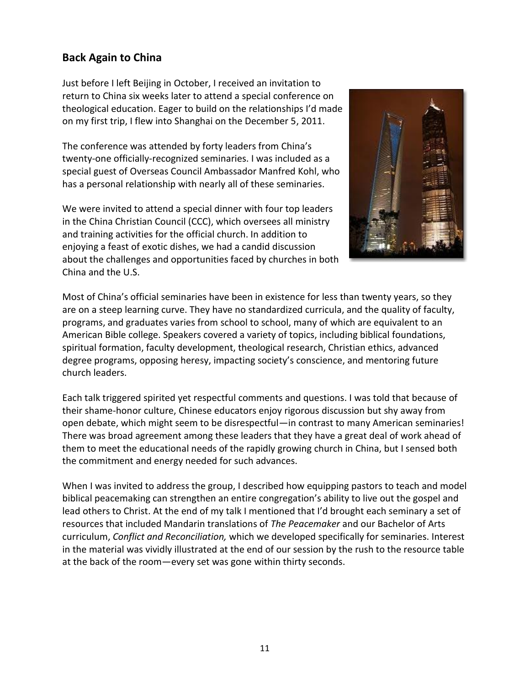### **Back Again to China**

Just before I left Beijing in October, I received an invitation to return to China six weeks later to attend a special conference on theological education. Eager to build on the relationships I'd made on my first trip, I flew into Shanghai on the December 5, 2011.

The conference was attended by forty leaders from China's twenty-one officially-recognized seminaries. I was included as a special guest of Overseas Council Ambassador Manfred Kohl, who has a personal relationship with nearly all of these seminaries.

We were invited to attend a special dinner with four top leaders in the China Christian Council (CCC), which oversees all ministry and training activities for the official church. In addition to enjoying a feast of exotic dishes, we had a candid discussion about the challenges and opportunities faced by churches in both China and the U.S.



Most of China's official seminaries have been in existence for less than twenty years, so they are on a steep learning curve. They have no standardized curricula, and the quality of faculty, programs, and graduates varies from school to school, many of which are equivalent to an American Bible college. Speakers covered a variety of topics, including biblical foundations, spiritual formation, faculty development, theological research, Christian ethics, advanced degree programs, opposing heresy, impacting society's conscience, and mentoring future church leaders.

Each talk triggered spirited yet respectful comments and questions. I was told that because of their shame-honor culture, Chinese educators enjoy rigorous discussion but shy away from open debate, which might seem to be disrespectful—in contrast to many American seminaries! There was broad agreement among these leaders that they have a great deal of work ahead of them to meet the educational needs of the rapidly growing church in China, but I sensed both the commitment and energy needed for such advances.

When I was invited to address the group, I described how equipping pastors to teach and model biblical peacemaking can strengthen an entire congregation's ability to live out the gospel and lead others to Christ. At the end of my talk I mentioned that I'd brought each seminary a set of resources that included Mandarin translations of *The Peacemaker* and our Bachelor of Arts curriculum, *Conflict and Reconciliation,* which we developed specifically for seminaries. Interest in the material was vividly illustrated at the end of our session by the rush to the resource table at the back of the room—every set was gone within thirty seconds.